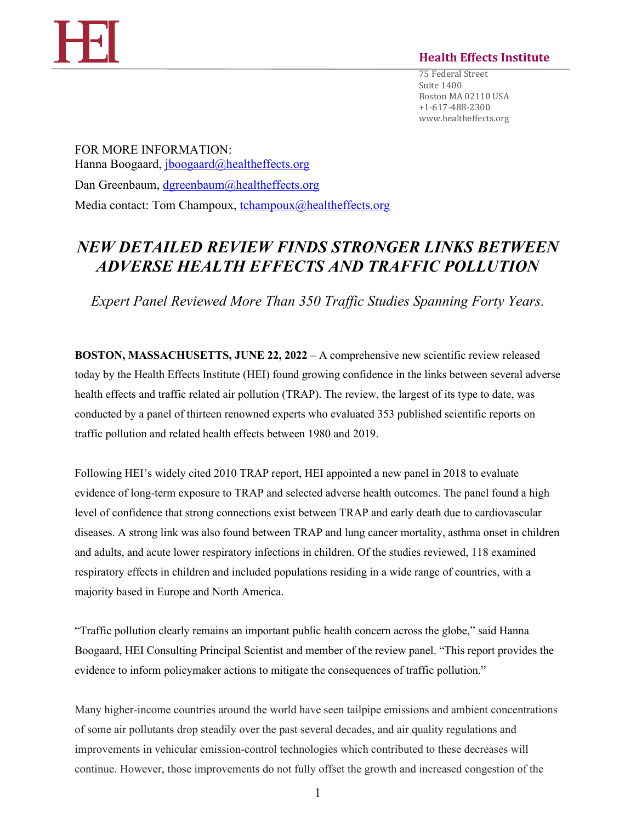

## **Health Effects Institute**

75 Federal Street Suite 1400 Boston MA 02110 USA +1-617-488-2300 www.healtheffects.org

FOR MORE INFORMATION: Hanna Boogaard, [jboogaard@healtheffects.org](mailto:jboogaard@healtheffects.org) Dan Greenbaum, [dgreenbaum@healtheffects.org](mailto:dgreenbaum@healtheffects.org) Media contact: Tom Champoux, [tchampoux@healtheffects.org](mailto:tchampoux@healtheffects.org)

## *NEW DETAILED REVIEW FINDS STRONGER LINKS BETWEEN ADVERSE HEALTH EFFECTS AND TRAFFIC POLLUTION*

*Expert Panel Reviewed More Than 350 Traffic Studies Spanning Forty Years.*

**BOSTON, MASSACHUSETTS, JUNE 22, 2022** – A comprehensive new scientific review released today by the Health Effects Institute (HEI) found growing confidence in the links between several adverse health effects and traffic related air pollution (TRAP). The review, the largest of its type to date, was conducted by a panel of thirteen renowned experts who evaluated 353 published scientific reports on traffic pollution and related health effects between 1980 and 2019.

Following HEI's widely cited 2010 TRAP report, HEI appointed a new panel in 2018 to evaluate evidence of long-term exposure to TRAP and selected adverse health outcomes. The panel found a high level of confidence that strong connections exist between TRAP and early death due to cardiovascular diseases. A strong link was also found between TRAP and lung cancer mortality, asthma onset in children and adults, and acute lower respiratory infections in children. Of the studies reviewed, 118 examined respiratory effects in children and included populations residing in a wide range of countries, with a majority based in Europe and North America.

"Traffic pollution clearly remains an important public health concern across the globe," said Hanna Boogaard, HEI Consulting Principal Scientist and member of the review panel. "This report provides the evidence to inform policymaker actions to mitigate the consequences of traffic pollution."

Many higher-income countries around the world have seen tailpipe emissions and ambient concentrations of some air pollutants drop steadily over the past several decades, and air quality regulations and improvements in vehicular emission-control technologies which contributed to these decreases will continue. However, those improvements do not fully offset the growth and increased congestion of the